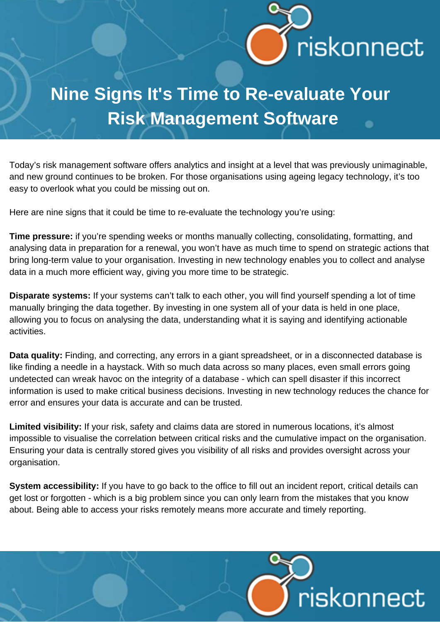

## **Nine Signs It's Time to Re-evaluate Your Risk Management Software**

Today's risk management software offers analytics and insight at a level that was previously unimaginable, and new ground continues to be broken. For those organisations using ageing legacy technology, it's too easy to overlook what you could be missing out on.

Here are nine signs that it could be time to re-evaluate the technology you're using:

**Time pressure:** if you're spending weeks or months manually collecting, consolidating, formatting, and analysing data in preparation for a renewal, you won't have as much time to spend on strategic actions that bring long-term value to your organisation. Investing in new technology enables you to collect and analyse data in a much more efficient way, giving you more time to be strategic.

**Disparate systems:** If your systems can't talk to each other, you will find yourself spending a lot of time manually bringing the data together. By investing in one system all of your data is held in one place, allowing you to focus on analysing the data, understanding what it is saying and identifying actionable activities.

**Data quality:** Finding, and correcting, any errors in a giant spreadsheet, or in a disconnected database is like finding a needle in a haystack. With so much data across so many places, even small errors going undetected can wreak havoc on the integrity of a database - which can spell disaster if this incorrect information is used to make critical business decisions. Investing in new technology reduces the chance for error and ensures your data is accurate and can be trusted.

**Limited visibility:** If your risk, safety and claims data are stored in numerous locations, it's almost impossible to visualise the correlation between critical risks and the cumulative impact on the organisation. Ensuring your data is centrally stored gives you visibility of all risks and provides oversight across your organisation.

**System accessibility:** If you have to go back to the office to fill out an incident report, critical details can get lost or forgotten - which is a big problem since you can only learn from the mistakes that you know about. Being able to access your risks remotely means more accurate and timely reporting.